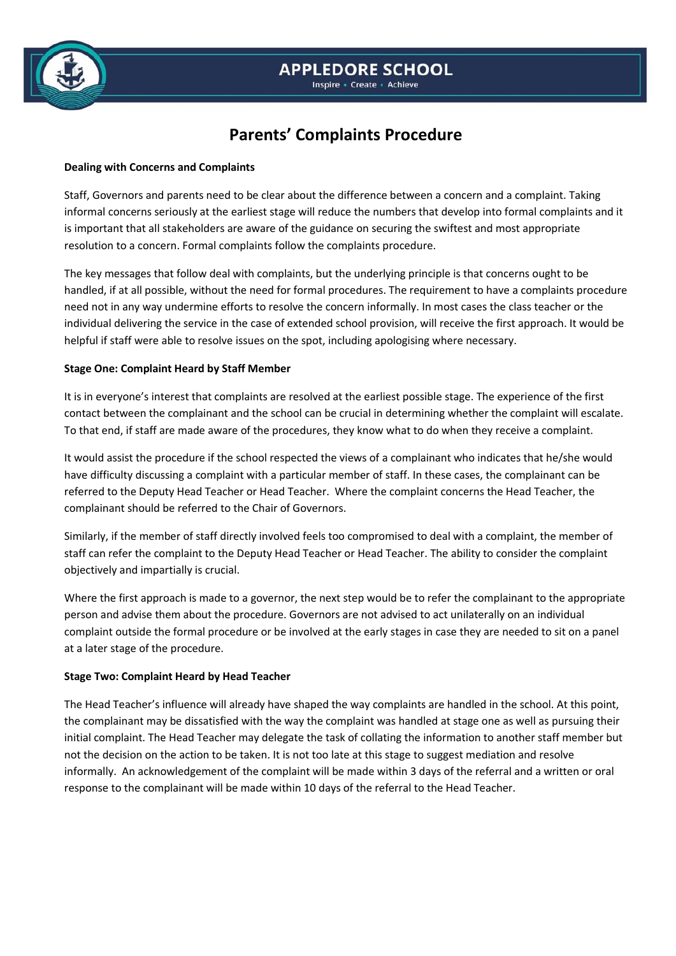



#### Inspire - Create - Achieve

# **Parents' Complaints Procedure**

#### **Dealing with Concerns and Complaints**

Staff, Governors and parents need to be clear about the difference between a concern and a complaint. Taking informal concerns seriously at the earliest stage will reduce the numbers that develop into formal complaints and it is important that all stakeholders are aware of the guidance on securing the swiftest and most appropriate resolution to a concern. Formal complaints follow the complaints procedure.

The key messages that follow deal with complaints, but the underlying principle is that concerns ought to be handled, if at all possible, without the need for formal procedures. The requirement to have a complaints procedure need not in any way undermine efforts to resolve the concern informally. In most cases the class teacher or the individual delivering the service in the case of extended school provision, will receive the first approach. It would be helpful if staff were able to resolve issues on the spot, including apologising where necessary.

#### **Stage One: Complaint Heard by Staff Member**

It is in everyone's interest that complaints are resolved at the earliest possible stage. The experience of the first contact between the complainant and the school can be crucial in determining whether the complaint will escalate. To that end, if staff are made aware of the procedures, they know what to do when they receive a complaint.

It would assist the procedure if the school respected the views of a complainant who indicates that he/she would have difficulty discussing a complaint with a particular member of staff. In these cases, the complainant can be referred to the Deputy Head Teacher or Head Teacher. Where the complaint concerns the Head Teacher, the complainant should be referred to the Chair of Governors.

Similarly, if the member of staff directly involved feels too compromised to deal with a complaint, the member of staff can refer the complaint to the Deputy Head Teacher or Head Teacher. The ability to consider the complaint objectively and impartially is crucial.

Where the first approach is made to a governor, the next step would be to refer the complainant to the appropriate person and advise them about the procedure. Governors are not advised to act unilaterally on an individual complaint outside the formal procedure or be involved at the early stages in case they are needed to sit on a panel at a later stage of the procedure.

#### **Stage Two: Complaint Heard by Head Teacher**

The Head Teacher's influence will already have shaped the way complaints are handled in the school. At this point, the complainant may be dissatisfied with the way the complaint was handled at stage one as well as pursuing their initial complaint. The Head Teacher may delegate the task of collating the information to another staff member but not the decision on the action to be taken. It is not too late at this stage to suggest mediation and resolve informally. An acknowledgement of the complaint will be made within 3 days of the referral and a written or oral response to the complainant will be made within 10 days of the referral to the Head Teacher.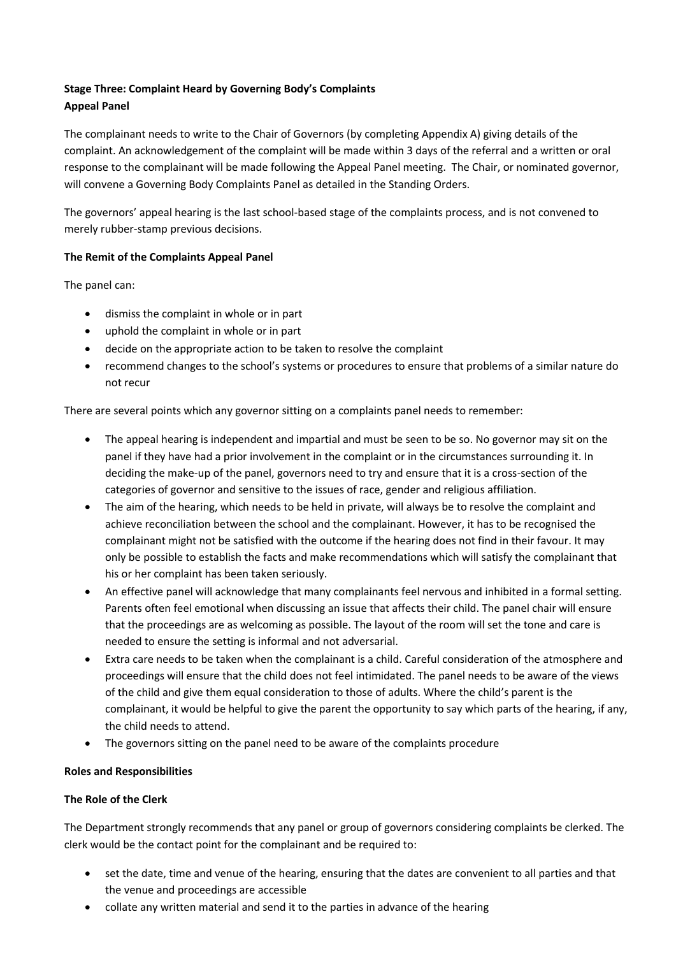# **Stage Three: Complaint Heard by Governing Body's Complaints Appeal Panel**

The complainant needs to write to the Chair of Governors (by completing Appendix A) giving details of the complaint. An acknowledgement of the complaint will be made within 3 days of the referral and a written or oral response to the complainant will be made following the Appeal Panel meeting. The Chair, or nominated governor, will convene a Governing Body Complaints Panel as detailed in the Standing Orders.

The governors' appeal hearing is the last school-based stage of the complaints process, and is not convened to merely rubber-stamp previous decisions.

### **The Remit of the Complaints Appeal Panel**

The panel can:

- dismiss the complaint in whole or in part
- uphold the complaint in whole or in part
- decide on the appropriate action to be taken to resolve the complaint
- recommend changes to the school's systems or procedures to ensure that problems of a similar nature do not recur

There are several points which any governor sitting on a complaints panel needs to remember:

- The appeal hearing is independent and impartial and must be seen to be so. No governor may sit on the panel if they have had a prior involvement in the complaint or in the circumstances surrounding it. In deciding the make-up of the panel, governors need to try and ensure that it is a cross-section of the categories of governor and sensitive to the issues of race, gender and religious affiliation.
- The aim of the hearing, which needs to be held in private, will always be to resolve the complaint and achieve reconciliation between the school and the complainant. However, it has to be recognised the complainant might not be satisfied with the outcome if the hearing does not find in their favour. It may only be possible to establish the facts and make recommendations which will satisfy the complainant that his or her complaint has been taken seriously.
- An effective panel will acknowledge that many complainants feel nervous and inhibited in a formal setting. Parents often feel emotional when discussing an issue that affects their child. The panel chair will ensure that the proceedings are as welcoming as possible. The layout of the room will set the tone and care is needed to ensure the setting is informal and not adversarial.
- Extra care needs to be taken when the complainant is a child. Careful consideration of the atmosphere and proceedings will ensure that the child does not feel intimidated. The panel needs to be aware of the views of the child and give them equal consideration to those of adults. Where the child's parent is the complainant, it would be helpful to give the parent the opportunity to say which parts of the hearing, if any, the child needs to attend.
- The governors sitting on the panel need to be aware of the complaints procedure

#### **Roles and Responsibilities**

#### **The Role of the Clerk**

The Department strongly recommends that any panel or group of governors considering complaints be clerked. The clerk would be the contact point for the complainant and be required to:

- set the date, time and venue of the hearing, ensuring that the dates are convenient to all parties and that the venue and proceedings are accessible
- collate any written material and send it to the parties in advance of the hearing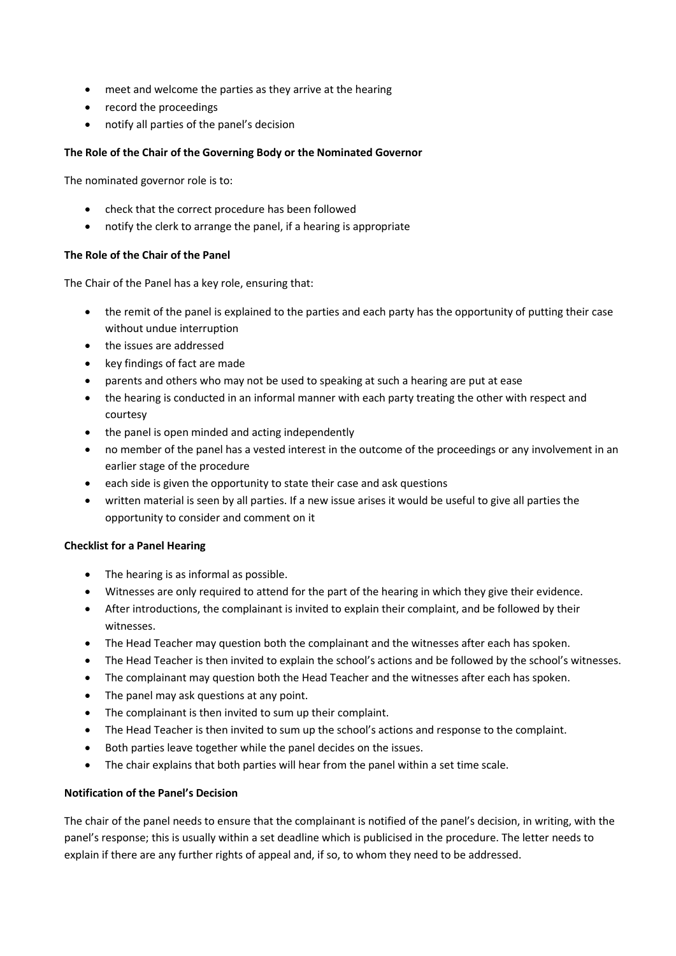- meet and welcome the parties as they arrive at the hearing
- record the proceedings
- notify all parties of the panel's decision

#### **The Role of the Chair of the Governing Body or the Nominated Governor**

The nominated governor role is to:

- check that the correct procedure has been followed
- notify the clerk to arrange the panel, if a hearing is appropriate

### **The Role of the Chair of the Panel**

The Chair of the Panel has a key role, ensuring that:

- the remit of the panel is explained to the parties and each party has the opportunity of putting their case without undue interruption
- the issues are addressed
- key findings of fact are made
- parents and others who may not be used to speaking at such a hearing are put at ease
- the hearing is conducted in an informal manner with each party treating the other with respect and courtesy
- the panel is open minded and acting independently
- no member of the panel has a vested interest in the outcome of the proceedings or any involvement in an earlier stage of the procedure
- each side is given the opportunity to state their case and ask questions
- written material is seen by all parties. If a new issue arises it would be useful to give all parties the opportunity to consider and comment on it

#### **Checklist for a Panel Hearing**

- The hearing is as informal as possible.
- Witnesses are only required to attend for the part of the hearing in which they give their evidence.
- After introductions, the complainant is invited to explain their complaint, and be followed by their witnesses.
- The Head Teacher may question both the complainant and the witnesses after each has spoken.
- The Head Teacher is then invited to explain the school's actions and be followed by the school's witnesses.
- The complainant may question both the Head Teacher and the witnesses after each has spoken.
- The panel may ask questions at any point.
- The complainant is then invited to sum up their complaint.
- The Head Teacher is then invited to sum up the school's actions and response to the complaint.
- Both parties leave together while the panel decides on the issues.
- The chair explains that both parties will hear from the panel within a set time scale.

## **Notification of the Panel's Decision**

The chair of the panel needs to ensure that the complainant is notified of the panel's decision, in writing, with the panel's response; this is usually within a set deadline which is publicised in the procedure. The letter needs to explain if there are any further rights of appeal and, if so, to whom they need to be addressed.